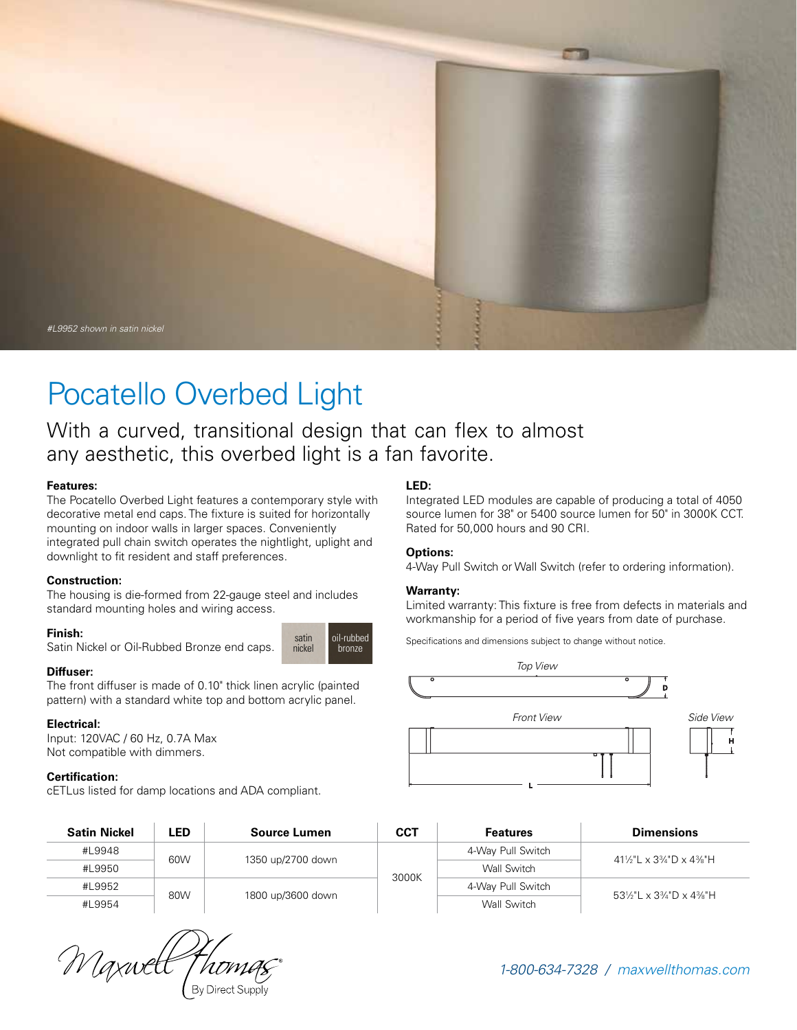

# Pocatello Overbed Light

With a curved, transitional design that can flex to almost any aesthetic, this overbed light is a fan favorite.

> satin nickel

oil-rubbed bronze

#### **Features:**

The Pocatello Overbed Light features a contemporary style with decorative metal end caps. The fixture is suited for horizontally mounting on indoor walls in larger spaces. Conveniently integrated pull chain switch operates the nightlight, uplight and downlight to fit resident and staff preferences.

#### **Construction:**

The housing is die-formed from 22-gauge steel and includes standard mounting holes and wiring access.

#### **Finish:**

Satin Nickel or Oil-Rubbed Bronze end caps.

#### **Diffuser:**

The front diffuser is made of 0.10" thick linen acrylic (painted pattern) with a standard white top and bottom acrylic panel.

#### **Electrical:**

Input: 120VAC / 60 Hz, 0.7A Max Not compatible with dimmers.

#### **Certification:**

cETLus listed for damp locations and ADA compliant.

## **LED:**

Integrated LED modules are capable of producing a total of 4050 source lumen for 38" or 5400 source lumen for 50" in 3000K CCT. Rated for 50,000 hours and 90 CRI.

#### **Options:**

4-Way Pull Switch or Wall Switch (refer to ordering information).

#### **Warranty:**

Limited warranty: This fixture is free from defects in materials and workmanship for a period of five years from date of purchase.

Specifications and dimensions subject to change without notice.



| <b>Satin Nickel</b> | LED. | Source Lumen      | <b>CCT</b> | <b>Features</b>   | <b>Dimensions</b>          |  |
|---------------------|------|-------------------|------------|-------------------|----------------------------|--|
| #L9948              |      |                   |            | 4-Way Pull Switch | 41½"L x 3¼"D x 4%"H        |  |
| #L9950              | 60W  | 1350 up/2700 down |            | Wall Switch       |                            |  |
| #L9952              |      |                   | 3000K      | 4-Way Pull Switch |                            |  |
| #L9954              | 80W  | 1800 up/3600 down |            | Wall Switch       | 53\%" L x 3\% " D x 4\%" H |  |

Waxwell

*1-800-634-7328 / maxwellthomas.com*